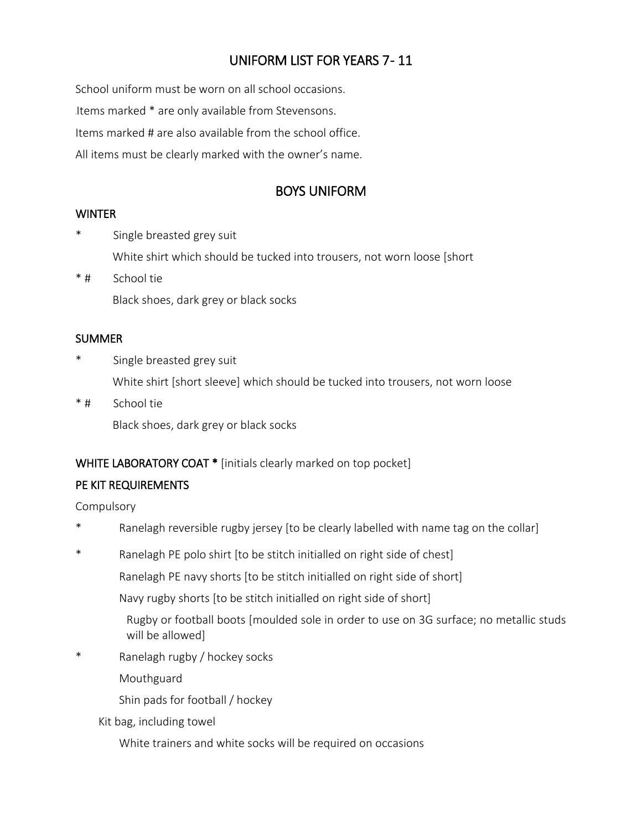# UNIFORM LIST FOR YEARS 7 - 11

School uniform must be worn on all school occasions. Items marked \* are only available from Stevensons. Items marked # are also available from the school office. All items must be clearly marked with the owner's name.

## BOYS UNIFORM

#### **WINTER**

- \* Single breasted grey suit White shirt which should be tucked into trousers, not worn loose [short
- \* # School tie Black shoes, dark grey or black socks

#### **SUMMER**

- Single breasted grey suit White shirt [short sleeve] which should be tucked into trousers, not worn loose
- \* # School tie Black shoes, dark grey or black socks

### WHITE LABORATORY COAT \* [initials clearly marked on top pocket]

### PE KIT REQUIREMENTS

Compulsory

- Ranelagh reversible rugby jersey [to be clearly labelled with name tag on the collar]
- \* Ranelagh PE polo shirt [to be stitch initialled on right side of chest]

Ranelagh PE navy shorts [to be stitch initialled on right side of short]

Navy rugby shorts [to be stitch initialled on right side of short]

Rugby or football boots [moulded sole in order to use on 3G surface; no metallic studs will be allowed]

\* Ranelagh rugby / hockey socks

Mouthguard

Shin pads for football / hockey

Kit bag, including towel

White trainers and white socks will be required on occasions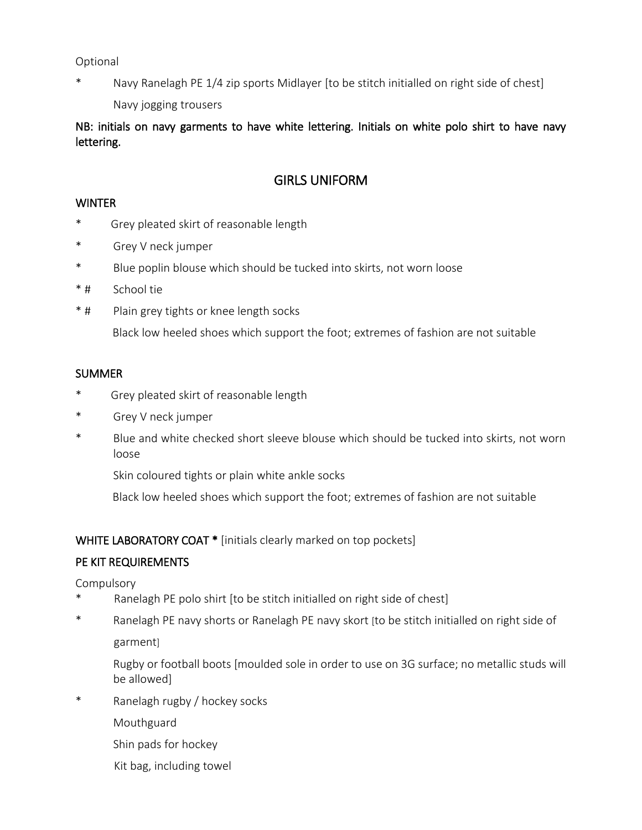Optional

Navy Ranelagh PE 1/4 zip sports Midlayer [to be stitch initialled on right side of chest] Navy jogging trousers

NB: initials on navy garments to have white lettering. Initials on white polo shirt to have navy lettering.

## GIRLS UNIFORM

#### **WINTER**

- \* Grey pleated skirt of reasonable length
- \* Grey V neck jumper
- \* Blue poplin blouse which should be tucked into skirts, not worn loose
- \* # School tie
- \* # Plain grey tights or knee length socks

Black low heeled shoes which support the foot; extremes of fashion are not suitable

#### **SUMMER**

- \* Grey pleated skirt of reasonable length
- \* Grey V neck jumper
- \* Blue and white checked short sleeve blouse which should be tucked into skirts, not worn loose

Skin coloured tights or plain white ankle socks

Black low heeled shoes which support the foot; extremes of fashion are not suitable

#### WHITE LABORATORY COAT \* [initials clearly marked on top pockets]

#### PE KIT REQUIREMENTS

**Compulsory** 

- Ranelagh PE polo shirt [to be stitch initialled on right side of chest]
- \* Ranelagh PE navy shorts or Ranelagh PE navy skort [to be stitch initialled on right side of garment]

Rugby or football boots [moulded sole in order to use on 3G surface; no metallic studs will be allowed]

- \* Ranelagh rugby / hockey socks
	- Mouthguard
	- Shin pads for hockey
	- Kit bag, including towel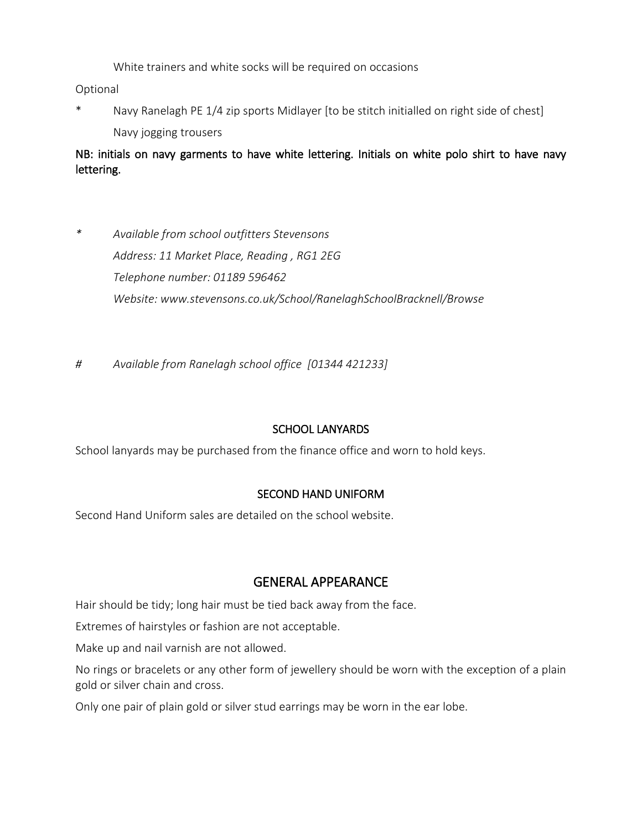White trainers and white socks will be required on occasions

Optional

\* Navy Ranelagh PE 1/4 zip sports Midlayer [to be stitch initialled on right side of chest] Navy jogging trousers

NB: initials on navy garments to have white lettering. Initials on white polo shirt to have navy lettering.

- *\* Available from school outfitters Stevensons Address: 11 Market Place, Reading , RG1 2EG Telephone number: 01189 596462 Website: www.stevensons.co.uk/School/RanelaghSchoolBracknell/Browse*
- *# Available from Ranelagh school office [01344 421233]*

### SCHOOL LANYARDS

School lanyards may be purchased from the finance office and worn to hold keys.

#### SECOND HAND UNIFORM

Second Hand Uniform sales are detailed on the school website.

## GENERAL APPEARANCE

Hair should be tidy; long hair must be tied back away from the face.

Extremes of hairstyles or fashion are not acceptable.

Make up and nail varnish are not allowed.

No rings or bracelets or any other form of jewellery should be worn with the exception of a plain gold or silver chain and cross.

Only one pair of plain gold or silver stud earrings may be worn in the ear lobe.